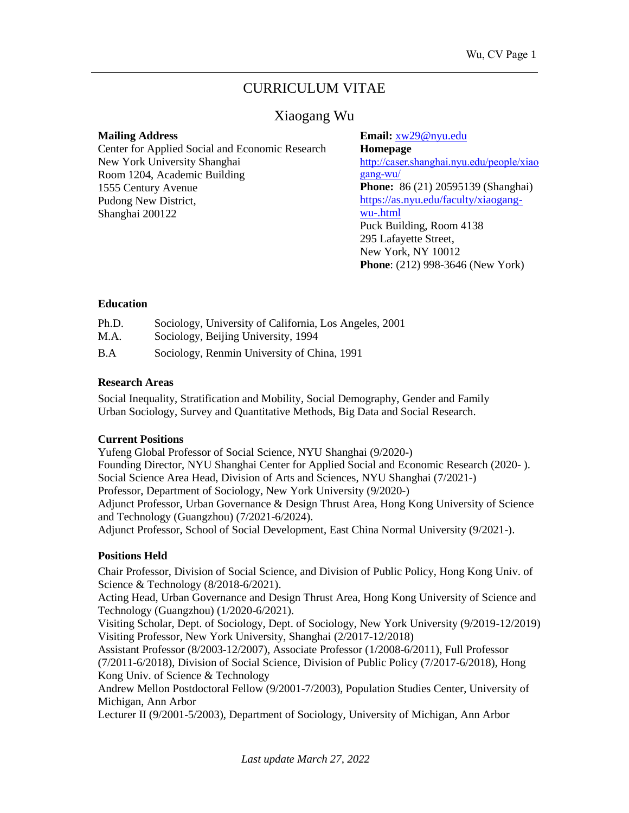# CURRICULUM VITAE

# Xiaogang Wu

#### **Mailing Address**

Center for Applied Social and Economic Research New York University Shanghai Room 1204, Academic Building 1555 Century Avenue Pudong New District, Shanghai 200122

**Email:** xw29@nyu.edu **Homepage** [http://caser.shanghai.nyu.edu/people/xiao](http://caser.shanghai.nyu.edu/people/xiaogang-wu/) [gang-wu/](http://caser.shanghai.nyu.edu/people/xiaogang-wu/) **Phone:** 86 (21) 20595139 (Shanghai) [https://as.nyu.edu/faculty/xiaogang](https://as.nyu.edu/faculty/xiaogang-wu-.html)[wu-.html](https://as.nyu.edu/faculty/xiaogang-wu-.html) Puck Building, Room 4138 295 Lafayette Street, New York, NY 10012 **Phone**: (212) 998-3646 (New York)

### **Education**

| Ph.D. | Sociology, University of California, Los Angeles, 2001 |
|-------|--------------------------------------------------------|
| M.A.  | Sociology, Beijing University, 1994                    |
| B.A   | Sociology, Renmin University of China, 1991            |

### **Research Areas**

Social Inequality, Stratification and Mobility, Social Demography, Gender and Family Urban Sociology, Survey and Quantitative Methods, Big Data and Social Research.

### **Current Positions**

Yufeng Global Professor of Social Science, NYU Shanghai (9/2020-) Founding Director, NYU Shanghai Center for Applied Social and Economic Research (2020- ). Social Science Area Head, Division of Arts and Sciences, NYU Shanghai (7/2021-) Professor, Department of Sociology, New York University (9/2020-) Adjunct Professor, Urban Governance & Design Thrust Area, Hong Kong University of Science and Technology (Guangzhou) (7/2021-6/2024). Adjunct Professor, School of Social Development, East China Normal University (9/2021-).

# **Positions Held**

Chair Professor, Division of Social Science, and Division of Public Policy, Hong Kong Univ. of Science & Technology (8/2018-6/2021).

Acting Head, Urban Governance and Design Thrust Area, Hong Kong University of Science and Technology (Guangzhou) (1/2020-6/2021).

Visiting Scholar, Dept. of Sociology, Dept. of Sociology, New York University (9/2019-12/2019) Visiting Professor, New York University, Shanghai (2/2017-12/2018)

Assistant Professor (8/2003-12/2007), Associate Professor (1/2008-6/2011), Full Professor (7/2011-6/2018), Division of Social Science, Division of Public Policy (7/2017-6/2018), Hong Kong Univ. of Science & Technology

Andrew Mellon Postdoctoral Fellow (9/2001-7/2003), Population Studies Center, University of Michigan, Ann Arbor

Lecturer II (9/2001-5/2003), Department of Sociology, University of Michigan, Ann Arbor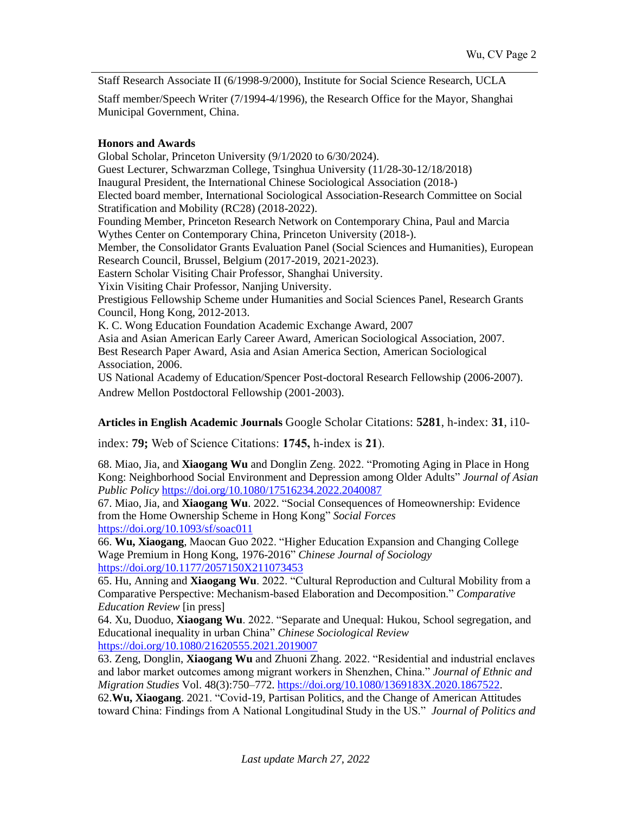Staff Research Associate II (6/1998-9/2000), Institute for Social Science Research, UCLA

Staff member/Speech Writer (7/1994-4/1996), the Research Office for the Mayor, Shanghai Municipal Government, China.

### **Honors and Awards**

Global Scholar, Princeton University (9/1/2020 to 6/30/2024). Guest Lecturer, Schwarzman College, Tsinghua University (11/28-30-12/18/2018) Inaugural President, the International Chinese Sociological Association (2018-) Elected board member, International Sociological Association-Research Committee on Social Stratification and Mobility (RC28) (2018-2022). Founding Member, Princeton Research Network on Contemporary China, Paul and Marcia Wythes Center on Contemporary China, Princeton University (2018-). Member, the Consolidator Grants Evaluation Panel (Social Sciences and Humanities), European Research Council, Brussel, Belgium (2017-2019, 2021-2023). Eastern Scholar Visiting Chair Professor, Shanghai University. Yixin Visiting Chair Professor, Nanjing University. Prestigious Fellowship Scheme under Humanities and Social Sciences Panel, Research Grants Council, Hong Kong, 2012-2013. K. C. Wong Education Foundation Academic Exchange Award, 2007 Asia and Asian American Early Career Award, American Sociological Association, 2007. Best Research Paper Award, Asia and Asian America Section, American Sociological Association, 2006. US National Academy of Education/Spencer Post-doctoral Research Fellowship (2006-2007). Andrew Mellon Postdoctoral Fellowship (2001-2003).

**Articles in English Academic Journals** Google Scholar Citations: **5281**, h-index: **31**, i10-

index: **79;** Web of Science Citations: **1745,** h-index is **21**).

68. Miao, Jia, and **Xiaogang Wu** and Donglin Zeng. 2022. "Promoting Aging in Place in Hong Kong: Neighborhood Social Environment and Depression among Older Adults" *Journal of Asian Public Policy* <https://doi.org/10.1080/17516234.2022.2040087>

67. Miao, Jia, and **Xiaogang Wu**. 2022. "Social Consequences of Homeownership: Evidence from the Home Ownership Scheme in Hong Kong" *Social Forces* <https://doi.org/10.1093/sf/soac011>

66. **Wu, Xiaogang**, Maocan Guo 2022. "Higher Education Expansion and Changing College Wage Premium in Hong Kong, 1976-2016" *Chinese Journal of Sociology* <https://doi.org/10.1177/2057150X211073453>

65. Hu, Anning and **Xiaogang Wu**. 2022. "Cultural Reproduction and Cultural Mobility from a Comparative Perspective: Mechanism-based Elaboration and Decomposition." *Comparative Education Review* [in press]

64. Xu, Duoduo, **Xiaogang Wu**. 2022. "Separate and Unequal: Hukou, School segregation, and Educational inequality in urban China" *Chinese Sociological Review* <https://doi.org/10.1080/21620555.2021.2019007>

63. Zeng, Donglin, **Xiaogang Wu** and Zhuoni Zhang. 2022. "Residential and industrial enclaves and labor market outcomes among migrant workers in Shenzhen, China." *Journal of Ethnic and Migration Studies* Vol. 48(3):750–772. [https://doi.org/10.1080/1369183X.2020.1867522.](https://doi.org/10.1080/1369183X.2020.1867522)

62.**Wu, Xiaogang**. 2021. "Covid-19, Partisan Politics, and the Change of American Attitudes toward China: Findings from A National Longitudinal Study in the US." *Journal of Politics and*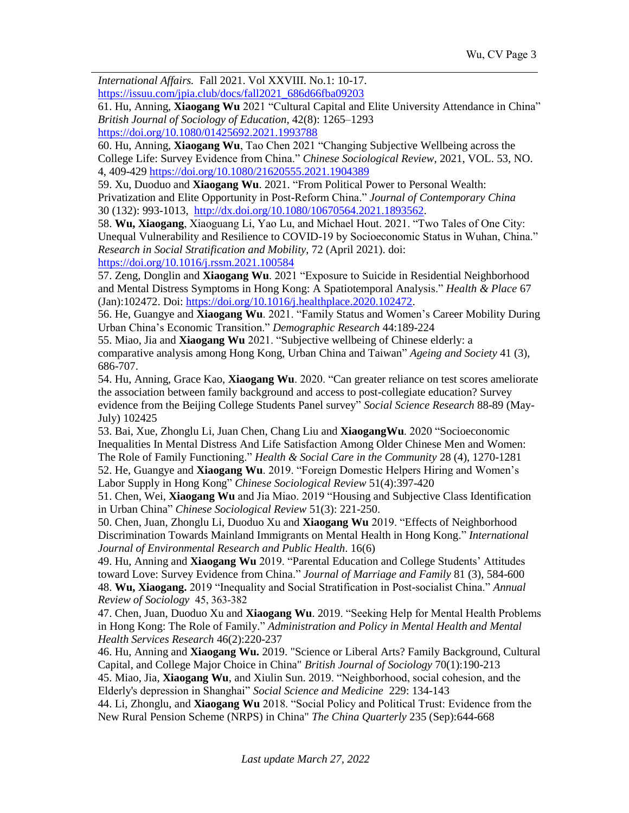*International Affairs.* Fall 2021. Vol XXVIII. No.1: 10-17. [https://issuu.com/jpia.club/docs/fall2021\\_686d66fba09203](https://issuu.com/jpia.club/docs/fall2021_686d66fba09203)

61. Hu, Anning, **Xiaogang Wu** 2021 "Cultural Capital and Elite University Attendance in China" *British Journal of Sociology of Education*, 42(8): 1265–1293

<https://doi.org/10.1080/01425692.2021.1993788>

60. Hu, Anning, **Xiaogang Wu**, Tao Chen 2021 "Changing Subjective Wellbeing across the College Life: Survey Evidence from China." *Chinese Sociological Review*, 2021, VOL. 53, NO. 4, 409-429<https://doi.org/10.1080/21620555.2021.1904389>

59. Xu, Duoduo and **Xiaogang Wu**. 2021. "From Political Power to Personal Wealth: Privatization and Elite Opportunity in Post-Reform China." *Journal of Contemporary China* 30 (132): 993-1013, [http://dx.doi.org/10.1080/10670564.2021.1893562.](http://dx.doi.org/10.1080/10670564.2021.1893562)

58. **Wu, Xiaogang**, Xiaoguang Li, Yao Lu, and Michael Hout. 2021. "Two Tales of One City: Unequal Vulnerability and Resilience to COVID-19 by Socioeconomic Status in Wuhan, China." *Research in Social Stratification and Mobility*, 72 (April 2021). doi: <https://doi.org/10.1016/j.rssm.2021.100584>

57. Zeng, Donglin and **Xiaogang Wu**. 2021 "Exposure to Suicide in Residential Neighborhood and Mental Distress Symptoms in Hong Kong: A Spatiotemporal Analysis." *Health & Place* 67 (Jan):102472. Doi: [https://doi.org/10.1016/j.healthplace.2020.102472.](https://doi.org/10.1016/j.healthplace.2020.102472)

56. He, Guangye and **Xiaogang Wu**. 2021. "Family Status and Women's Career Mobility During Urban China's Economic Transition." *Demographic Research* 44:189-224

55. Miao, Jia and **Xiaogang Wu** 2021. "Subjective wellbeing of Chinese elderly: a comparative analysis among Hong Kong, Urban China and Taiwan" *Ageing and Society* 41 (3), 686-707.

54. Hu, Anning, Grace Kao, **Xiaogang Wu**. 2020. "Can greater reliance on test scores ameliorate the association between family background and access to post-collegiate education? Survey evidence from the Beijing College Students Panel survey" *Social Science Research* 88-89 (May-July) 102425

53. Bai, Xue, Zhonglu Li, Juan Chen, Chang Liu and **XiaogangWu**. 2020 "Socioeconomic Inequalities In Mental Distress And Life Satisfaction Among Older Chinese Men and Women: The Role of Family Functioning." *Health & Social Care in the Community* 28 (4), 1270-1281 52. He, Guangye and **Xiaogang Wu**. 2019. "Foreign Domestic Helpers Hiring and Women's Labor Supply in Hong Kong" *Chinese Sociological Review* 51(4):397-420

51. Chen, Wei, **Xiaogang Wu** and Jia Miao. 2019 "Housing and Subjective Class Identification in Urban China" *Chinese Sociological Review* 51(3): 221-250.

50. Chen, Juan, Zhonglu Li, Duoduo Xu and **Xiaogang Wu** 2019. "Effects of Neighborhood Discrimination Towards Mainland Immigrants on Mental Health in Hong Kong." *International Journal of Environmental Research and Public Health*. 16(6)

49. Hu, Anning and **Xiaogang Wu** 2019. "Parental Education and College Students' Attitudes toward Love: Survey Evidence from China." *Journal of Marriage and Family* 81 (3), 584-600 48. **Wu, Xiaogang.** 2019 "Inequality and Social Stratification in Post-socialist China." *Annual Review of Sociology* 45, 363-382

47. Chen, Juan, Duoduo Xu and **Xiaogang Wu**. 2019. "Seeking Help for Mental Health Problems in Hong Kong: The Role of Family." *Administration and Policy in Mental Health and Mental Health Services Research* 46(2):220-237

46. Hu, Anning and **Xiaogang Wu.** 2019. "Science or Liberal Arts? Family Background, Cultural Capital, and College Major Choice in China" *British Journal of Sociology* 70(1):190-213 45. Miao, Jia, **Xiaogang Wu**, and Xiulin Sun. 2019. "Neighborhood, social cohesion, and the Elderly's depression in Shanghai" *Social Science and Medicine* 229: 134-143

44. Li, Zhonglu, and **Xiaogang Wu** 2018. "Social Policy and Political Trust: Evidence from the New Rural Pension Scheme (NRPS) in China" *The China Quarterly* 235 (Sep):644-668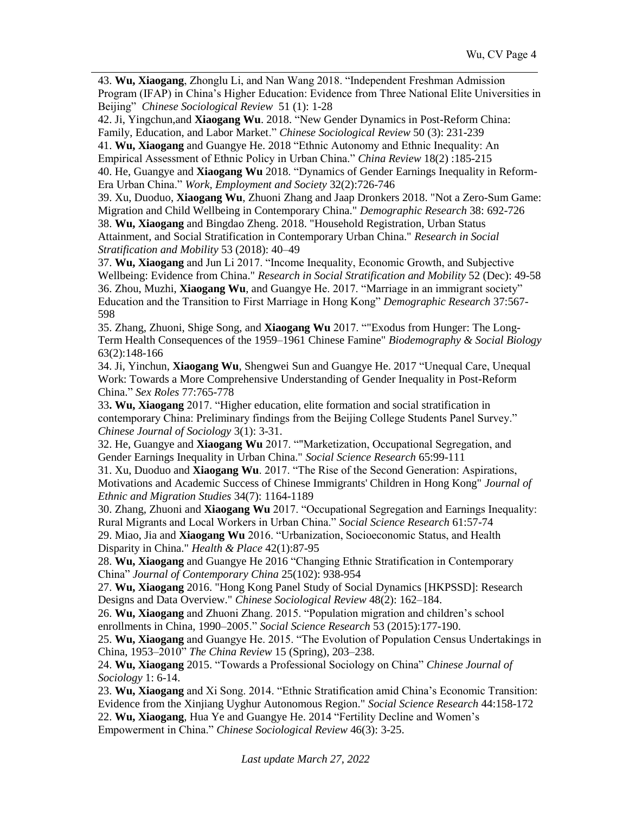43. **Wu, Xiaogang**, Zhonglu Li, and Nan Wang 2018. "Independent Freshman Admission Program (IFAP) in China's Higher Education: Evidence from Three National Elite Universities in Beijing" *Chinese Sociological Review* 51 (1): 1-28

42. Ji, Yingchun,and **Xiaogang Wu**. 2018. "New Gender Dynamics in Post-Reform China: Family, Education, and Labor Market." *Chinese Sociological Review* 50 (3): 231-239

41. **Wu, Xiaogang** and Guangye He. 2018 "Ethnic Autonomy and Ethnic Inequality: An Empirical Assessment of Ethnic Policy in Urban China." *China Review* 18(2) :185-215 40. He, Guangye and **Xiaogang Wu** 2018. "Dynamics of Gender Earnings Inequality in Reform-

Era Urban China." *Work, Employment and Society* 32(2):726-746

39. Xu, Duoduo, **Xiaogang Wu**, Zhuoni Zhang and Jaap Dronkers 2018. "Not a Zero-Sum Game: Migration and Child Wellbeing in Contemporary China." *Demographic Research* 38: 692-726

38. **Wu, Xiaogang** and Bingdao Zheng. 2018. "Household Registration, Urban Status Attainment, and Social Stratification in Contemporary Urban China." *Research in Social Stratification and Mobility* 53 (2018): 40–49

37. **Wu, Xiaogang** and Jun Li 2017. "Income Inequality, Economic Growth, and Subjective Wellbeing: Evidence from China." *Research in Social Stratification and Mobility* 52 (Dec): 49-58 36. Zhou, Muzhi, **Xiaogang Wu**, and Guangye He. 2017. "Marriage in an immigrant society" Education and the Transition to First Marriage in Hong Kong" *Demographic Research* 37:567- 598

35. Zhang, Zhuoni, Shige Song, and **Xiaogang Wu** 2017. ""Exodus from Hunger: The Long-Term Health Consequences of the 1959–1961 Chinese Famine" *Biodemography & Social Biology* 63(2):148-166

34. Ji, Yinchun, **Xiaogang Wu**, Shengwei Sun and Guangye He. 2017 "Unequal Care, Unequal Work: Towards a More Comprehensive Understanding of Gender Inequality in Post-Reform China." *Sex Roles* 77:765-778

33**. Wu, Xiaogang** 2017. "Higher education, elite formation and social stratification in contemporary China: Preliminary findings from the Beijing College Students Panel Survey." *Chinese Journal of Sociology* 3(1): 3-31.

32. He, Guangye and **Xiaogang Wu** 2017. ""Marketization, Occupational Segregation, and Gender Earnings Inequality in Urban China." *Social Science Research* 65:99-111

31. Xu, Duoduo and **Xiaogang Wu**. 2017. "The Rise of the Second Generation: Aspirations, Motivations and Academic Success of Chinese Immigrants' Children in Hong Kong" *Journal of Ethnic and Migration Studies* 34(7): 1164-1189

30. Zhang, Zhuoni and **Xiaogang Wu** 2017. "Occupational Segregation and Earnings Inequality: Rural Migrants and Local Workers in Urban China." *Social Science Research* 61:57-74

29. Miao, Jia and **Xiaogang Wu** 2016. "Urbanization, Socioeconomic Status, and Health Disparity in China." *Health & Place* 42(1):87-95

28. **Wu, Xiaogang** and Guangye He 2016 "Changing Ethnic Stratification in Contemporary China" *Journal of Contemporary China* 25(102): 938-954

27. **Wu, Xiaogang** 2016. "Hong Kong Panel Study of Social Dynamics [HKPSSD]: Research Designs and Data Overview." *Chinese Sociological Review* 48(2): 162–184.

26. **Wu, Xiaogang** and Zhuoni Zhang. 2015. "Population migration and children's school enrollments in China, 1990–2005." *Social Science Research* 53 (2015):177-190.

25. **Wu, Xiaogang** and Guangye He. 2015. "The Evolution of Population Census Undertakings in China, 1953–2010" *The China Review* 15 (Spring), 203–238.

24. **Wu, Xiaogang** 2015. "Towards a Professional Sociology on China" *Chinese Journal of Sociology* 1: 6-14.

23. **Wu, Xiaogang** and Xi Song. 2014. "Ethnic Stratification amid China's Economic Transition: Evidence from the Xinjiang Uyghur Autonomous Region." *Social Science Research* 44:158-172 22. **Wu, Xiaogang**, Hua Ye and Guangye He. 2014 "Fertility Decline and Women's Empowerment in China." *Chinese Sociological Review* 46(3): 3-25.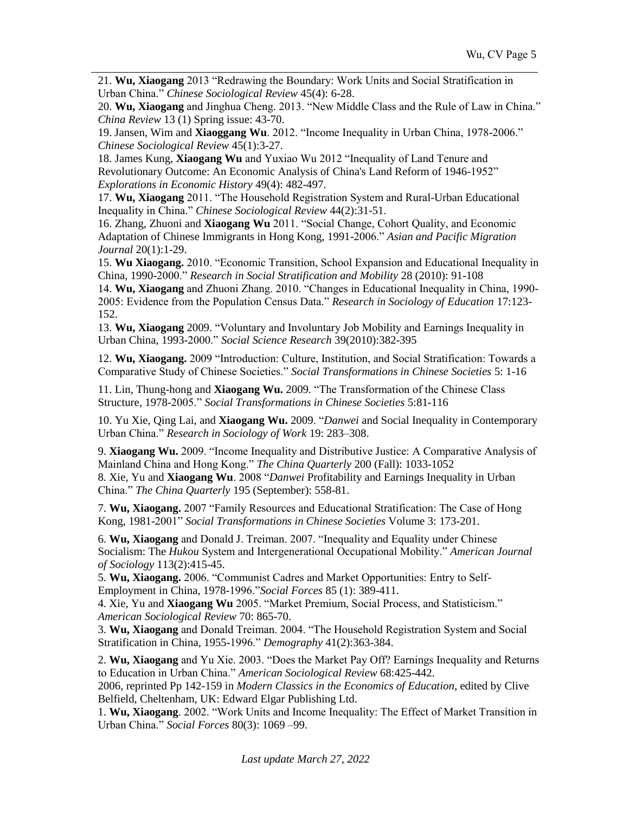21. **Wu, Xiaogang** 2013 "Redrawing the Boundary: Work Units and Social Stratification in Urban China." *Chinese Sociological Review* 45(4): 6-28.

20. **Wu, Xiaogang** and Jinghua Cheng. 2013. "New Middle Class and the Rule of Law in China." *China Review* 13 (1) Spring issue: 43-70.

19. Jansen, Wim and **Xiaoggang Wu**. 2012. "Income Inequality in Urban China, 1978-2006." *Chinese Sociological Review* 45(1):3-27.

18. James Kung, **Xiaogang Wu** and Yuxiao Wu 2012 "Inequality of Land Tenure and Revolutionary Outcome: An Economic Analysis of China's Land Reform of 1946-1952" *Explorations in Economic History* 49(4): 482-497.

17. **Wu, Xiaogang** 2011. "The Household Registration System and Rural-Urban Educational Inequality in China." *Chinese Sociological Review* 44(2):31-51.

16. Zhang, Zhuoni and **Xiaogang Wu** 2011. "Social Change, Cohort Quality, and Economic Adaptation of Chinese Immigrants in Hong Kong, 1991-2006." *Asian and Pacific Migration Journal* 20(1):1-29.

15. **Wu Xiaogang.** 2010. "Economic Transition, School Expansion and Educational Inequality in China, 1990-2000." *Research in Social Stratification and Mobility* 28 (2010): 91-108

14. **Wu, Xiaogang** and Zhuoni Zhang. 2010. "Changes in Educational Inequality in China, 1990- 2005: Evidence from the Population Census Data." *Research in Sociology of Education* 17:123- 152.

13. **Wu, Xiaogang** 2009. "Voluntary and Involuntary Job Mobility and Earnings Inequality in Urban China, 1993-2000." *Social Science Research* 39(2010):382-395

12. **Wu, Xiaogang.** 2009 "Introduction: Culture, Institution, and Social Stratification: Towards a Comparative Study of Chinese Societies." *Social Transformations in Chinese Societies* 5: 1-16

11. Lin, Thung-hong and **Xiaogang Wu.** 2009. "The Transformation of the Chinese Class Structure, 1978-2005." *Social Transformations in Chinese Societies* 5:81-116

10. Yu Xie, Qing Lai, and **Xiaogang Wu.** 2009. "*Danwei* and Social Inequality in Contemporary Urban China." *Research in Sociology of Work* 19: 283–308.

9. **Xiaogang Wu.** 2009. "Income Inequality and Distributive Justice: A Comparative Analysis of Mainland China and Hong Kong." *The China Quarterly* 200 (Fall): 1033-1052 8. Xie, Yu and **Xiaogang Wu**. 2008 "*Danwei* Profitability and Earnings Inequality in Urban China." *The China Quarterly* 195 (September): 558-81.

7. **Wu, Xiaogang.** 2007 "Family Resources and Educational Stratification: The Case of Hong Kong, 1981-2001" *Social Transformations in Chinese Societies* Volume 3: 173-201.

6. **Wu, Xiaogang** and Donald J. Treiman. 2007. "Inequality and Equality under Chinese Socialism: The *Hukou* System and Intergenerational Occupational Mobility." *American Journal of Sociology* 113(2):415-45.

5. **Wu, Xiaogang.** 2006. "Communist Cadres and Market Opportunities: Entry to Self-Employment in China, 1978-1996."*Social Forces* 85 (1): 389-411.

4. Xie, Yu and **Xiaogang Wu** 2005. "Market Premium, Social Process, and Statisticism." *American Sociological Review* 70: 865-70.

3. **Wu, Xiaogang** and Donald Treiman. 2004. "The Household Registration System and Social Stratification in China, 1955-1996." *Demography* 41(2):363-384.

2. **Wu, Xiaogang** and Yu Xie. 2003. "Does the Market Pay Off? Earnings Inequality and Returns to Education in Urban China." *American Sociological Review* 68:425-442.

2006, reprinted Pp 142-159 in *Modern Classics in the Economics of Education*, edited by Clive Belfield, Cheltenham, UK: Edward Elgar Publishing Ltd.

1. **Wu, Xiaogang**. 2002. "Work Units and Income Inequality: The Effect of Market Transition in Urban China." *Social Forces* 80(3): 1069 –99.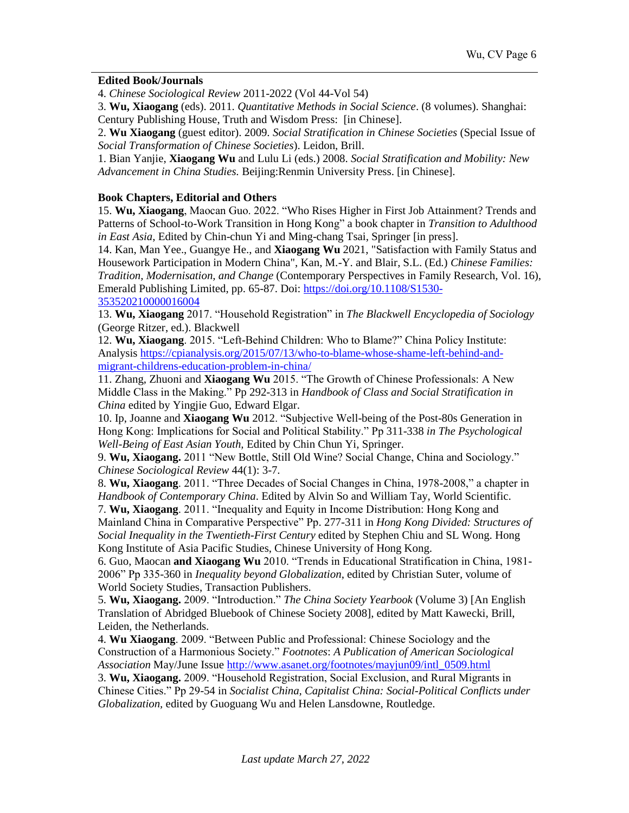## **Edited Book/Journals**

4. *Chinese Sociological Review* 2011-2022 (Vol 44-Vol 54)

3. **Wu, Xiaogang** (eds). 2011. *Quantitative Methods in Social Science*. (8 volumes). Shanghai: Century Publishing House, Truth and Wisdom Press: [in Chinese].

2. **Wu Xiaogang** (guest editor). 2009. *Social Stratification in Chinese Societies* (Special Issue of *Social Transformation of Chinese Societies*). Leidon, Brill.

1. Bian Yanjie, **Xiaogang Wu** and Lulu Li (eds.) 2008. *Social Stratification and Mobility: New Advancement in China Studies.* Beijing:Renmin University Press. [in Chinese].

## **Book Chapters, Editorial and Others**

15. **Wu, Xiaogang**, Maocan Guo. 2022. "Who Rises Higher in First Job Attainment? Trends and Patterns of School-to-Work Transition in Hong Kong" a book chapter in *Transition to Adulthood in East Asia*, Edited by Chin-chun Yi and Ming-chang Tsai, Springer [in press].

14. Kan, Man Yee., Guangye He., and **Xiaogang Wu** 2021, "Satisfaction with Family Status and Housework Participation in Modern China", Kan, M.-Y. and Blair, S.L. (Ed.) *Chinese Families: Tradition, Modernisation, and Change* (Contemporary Perspectives in Family Research, Vol. 16), Emerald Publishing Limited, pp. 65-87. Doi: [https://doi.org/10.1108/S1530-](https://doi.org/10.1108/S1530-353520210000016004) [353520210000016004](https://doi.org/10.1108/S1530-353520210000016004)

13. **Wu, Xiaogang** 2017. "Household Registration" in *The Blackwell Encyclopedia of Sociology* (George Ritzer, ed.). Blackwell

12. **Wu, Xiaogang**. 2015. "Left-Behind Children: Who to Blame?" China Policy Institute: Analysis [https://cpianalysis.org/2015/07/13/who-to-blame-whose-shame-left-behind-and](https://cpianalysis.org/2015/07/13/who-to-blame-whose-shame-left-behind-and-migrant-childrens-education-problem-in-china/)[migrant-childrens-education-problem-in-china/](https://cpianalysis.org/2015/07/13/who-to-blame-whose-shame-left-behind-and-migrant-childrens-education-problem-in-china/)

11. Zhang, Zhuoni and **Xiaogang Wu** 2015. "The Growth of Chinese Professionals: A New Middle Class in the Making." Pp 292-313 in *Handbook of Class and Social Stratification in China* edited by Yingjie Guo, Edward Elgar.

10. Ip, Joanne and **Xiaogang Wu** 2012. "Subjective Well-being of the Post-80s Generation in Hong Kong: Implications for Social and Political Stability." Pp 311-338 *in The Psychological Well-Being of East Asian Youth,* Edited by Chin Chun Yi*,* Springer.

9. **Wu, Xiaogang.** 2011 "New Bottle, Still Old Wine? Social Change, China and Sociology." *Chinese Sociological Review* 44(1): 3-7.

8. **Wu, Xiaogang**. 2011. "Three Decades of Social Changes in China, 1978-2008," a chapter in *Handbook of Contemporary China*. Edited by Alvin So and William Tay, World Scientific.

7. **Wu, Xiaogang**. 2011. "Inequality and Equity in Income Distribution: Hong Kong and Mainland China in Comparative Perspective" Pp. 277-311 in *Hong Kong Divided: Structures of Social Inequality in the Twentieth-First Century* edited by Stephen Chiu and SL Wong. Hong Kong Institute of Asia Pacific Studies, Chinese University of Hong Kong.

6. Guo, Maocan **and Xiaogang Wu** 2010. "Trends in Educational Stratification in China, 1981- 2006" Pp 335-360 in *Inequality beyond Globalization*, edited by Christian Suter, volume of World Society Studies, Transaction Publishers.

5. **Wu, Xiaogang.** 2009. "Introduction." *The China Society Yearbook* (Volume 3) [An English Translation of Abridged Bluebook of Chinese Society 2008], edited by Matt Kawecki, Brill, Leiden, the Netherlands.

4. **Wu Xiaogang**. 2009. "Between Public and Professional: Chinese Sociology and the Construction of a Harmonious Society." *Footnotes*: *A Publication of American Sociological Association* May/June Issue [http://www.asanet.org/footnotes/mayjun09/intl\\_0509.html](http://www.asanet.org/footnotes/mayjun09/intl_0509.html)

3. **Wu, Xiaogang.** 2009. "Household Registration, Social Exclusion, and Rural Migrants in Chinese Cities." Pp 29-54 in *Socialist China, Capitalist China: Social-Political Conflicts under Globalization,* edited by Guoguang Wu and Helen Lansdowne, Routledge.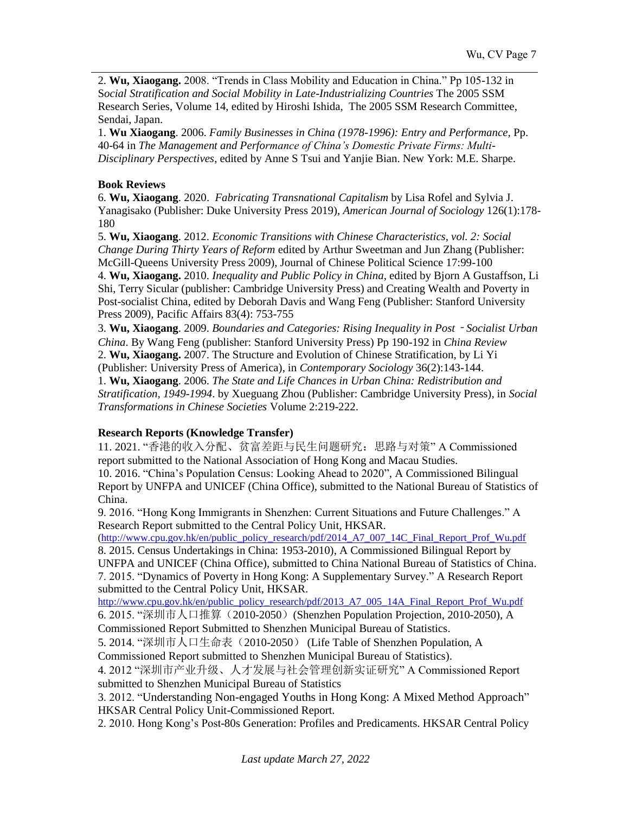2. **Wu, Xiaogang.** 2008. "Trends in Class Mobility and Education in China." Pp 105-132 in S*ocial Stratification and Social Mobility in Late-Industrializing Countries* The 2005 SSM Research Series, Volume 14, edited by Hiroshi Ishida, The 2005 SSM Research Committee, Sendai, Japan.

1. **Wu Xiaogang**. 2006. *Family Businesses in China (1978-1996): Entry and Performance,* Pp. 40-64 in *The Management and Performance of China's Domestic Private Firms: Multi-Disciplinary Perspectives*, edited by Anne S Tsui and Yanjie Bian. New York: M.E. Sharpe.

### **Book Reviews**

6. **Wu, Xiaogang**. 2020. *Fabricating Transnational Capitalism* by Lisa Rofel and Sylvia J. Yanagisako (Publisher: Duke University Press 2019), *American Journal of Sociology* 126(1):178- 180

5. **Wu, Xiaogang**. 2012. *Economic Transitions with Chinese Characteristics, vol. 2: Social Change During Thirty Years of Reform* edited by Arthur Sweetman and Jun Zhang (Publisher: McGill-Queens University Press 2009), Journal of Chinese Political Science 17:99-100 4. **Wu, Xiaogang.** 2010. *Inequality and Public Policy in China*, edited by Bjorn A Gustaffson, Li Shi, Terry Sicular (publisher: Cambridge University Press) and Creating Wealth and Poverty in Post-socialist China, edited by Deborah Davis and Wang Feng (Publisher: Stanford University Press 2009), Pacific Affairs 83(4): 753-755

3. **Wu, Xiaogang**. 2009. *Boundaries and Categories: Rising Inequality in Post*‐*Socialist Urban China*. By Wang Feng (publisher: Stanford University Press) Pp 190-192 in *China Review* 2. **Wu, Xiaogang.** 2007. The Structure and Evolution of Chinese Stratification, by Li Yi (Publisher: University Press of America), in *Contemporary Sociology* 36(2):143-144. 1. **Wu, Xiaogang**. 2006. *The State and Life Chances in Urban China: Redistribution and Stratification, 1949-1994*. by Xueguang Zhou (Publisher: Cambridge University Press), in *Social Transformations in Chinese Societies* Volume 2:219-222.

# **Research Reports (Knowledge Transfer)**

11. 2021. "香港的收入分配、贫富差距与民生问题研究:思路与对策" A Commissioned report submitted to the National Association of Hong Kong and Macau Studies.

10. 2016. "China's Population Census: Looking Ahead to 2020", A Commissioned Bilingual Report by UNFPA and UNICEF (China Office), submitted to the National Bureau of Statistics of China.

9. 2016. "Hong Kong Immigrants in Shenzhen: Current Situations and Future Challenges." A Research Report submitted to the Central Policy Unit, HKSAR.

[\(http://www.cpu.gov.hk/en/public\\_policy\\_research/pdf/2014\\_A7\\_007\\_14C\\_Final\\_Report\\_Prof\\_Wu.pdf](http://www.cpu.gov.hk/en/public_policy_research/pdf/2014_A7_007_14C_Final_Report_Prof_Wu.pdf) 8. 2015. Census Undertakings in China: 1953-2010), A Commissioned Bilingual Report by UNFPA and UNICEF (China Office), submitted to China National Bureau of Statistics of China. 7. 2015. "Dynamics of Poverty in Hong Kong: A Supplementary Survey." A Research Report

submitted to the Central Policy Unit, HKSAR.

[http://www.cpu.gov.hk/en/public\\_policy\\_research/pdf/2013\\_A7\\_005\\_14A\\_Final\\_Report\\_Prof\\_Wu.pdf](http://www.cpu.gov.hk/en/public_policy_research/pdf/2013_A7_005_14A_Final_Report_Prof_Wu.pdf)

6. 2015. "深圳市人口推算(2010-2050)(Shenzhen Population Projection, 2010-2050), A Commissioned Report Submitted to Shenzhen Municipal Bureau of Statistics.

5. 2014. "深圳市人口生命表 (2010-2050) (Life Table of Shenzhen Population, A Commissioned Report submitted to Shenzhen Municipal Bureau of Statistics).

4. 2012 "深圳市产业升级、人才发展与社会管理创新实证研究" A Commissioned Report submitted to Shenzhen Municipal Bureau of Statistics

3. 2012. "Understanding Non-engaged Youths in Hong Kong: A Mixed Method Approach" HKSAR Central Policy Unit-Commissioned Report.

2. 2010. Hong Kong's Post-80s Generation: Profiles and Predicaments. HKSAR Central Policy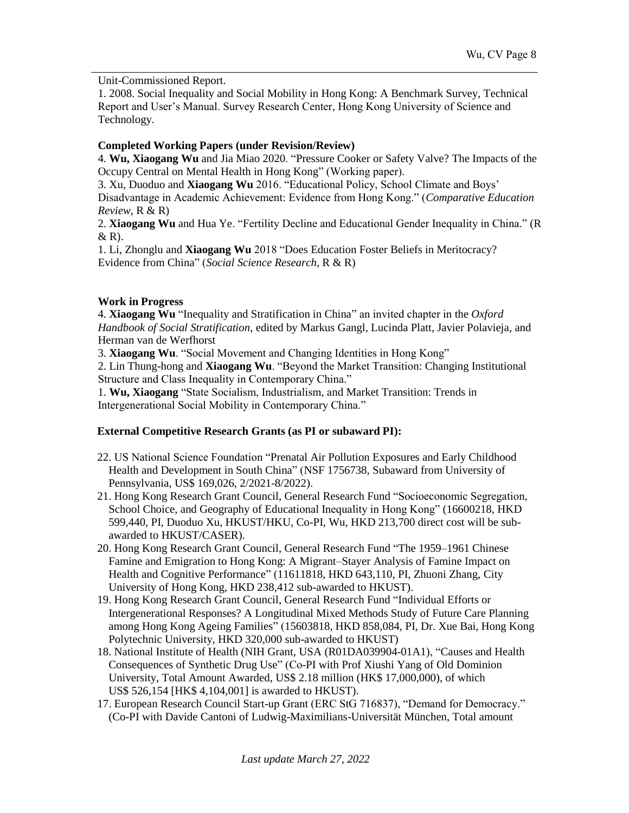Unit-Commissioned Report.

1. 2008. Social Inequality and Social Mobility in Hong Kong: A Benchmark Survey, Technical Report and User's Manual. Survey Research Center, Hong Kong University of Science and Technology.

## **Completed Working Papers (under Revision/Review)**

4. **Wu, Xiaogang Wu** and Jia Miao 2020. "Pressure Cooker or Safety Valve? The Impacts of the Occupy Central on Mental Health in Hong Kong" (Working paper).

3. Xu, Duoduo and **Xiaogang Wu** 2016. "Educational Policy, School Climate and Boys' Disadvantage in Academic Achievement: Evidence from Hong Kong." (*Comparative Education Review*, R & R)

2. **Xiaogang Wu** and Hua Ye. "Fertility Decline and Educational Gender Inequality in China." (R  $&$  R).

1. Li, Zhonglu and **Xiaogang Wu** 2018 "Does Education Foster Beliefs in Meritocracy? Evidence from China" (*Social Science Research*, R & R)

# **Work in Progress**

4. **Xiaogang Wu** "Inequality and Stratification in China" an invited chapter in the *Oxford Handbook of Social Stratification*, edited by Markus Gangl, Lucinda Platt, Javier Polavieja, and Herman van de Werfhorst

3. **Xiaogang Wu**. "Social Movement and Changing Identities in Hong Kong"

2. Lin Thung-hong and **Xiaogang Wu**. "Beyond the Market Transition: Changing Institutional Structure and Class Inequality in Contemporary China."

1. **Wu, Xiaogang** "State Socialism, Industrialism, and Market Transition: Trends in Intergenerational Social Mobility in Contemporary China."

# **External Competitive Research Grants (as PI or subaward PI):**

- 22. US National Science Foundation "Prenatal Air Pollution Exposures and Early Childhood Health and Development in South China" (NSF 1756738, Subaward from University of Pennsylvania, US\$ 169,026, 2/2021-8/2022).
- 21. Hong Kong Research Grant Council, General Research Fund "Socioeconomic Segregation, School Choice, and Geography of Educational Inequality in Hong Kong" (16600218, HKD 599,440, PI, Duoduo Xu, HKUST/HKU, Co-PI, Wu, HKD 213,700 direct cost will be subawarded to HKUST/CASER).
- 20. Hong Kong Research Grant Council, General Research Fund "The 1959–1961 Chinese Famine and Emigration to Hong Kong: A Migrant–Stayer Analysis of Famine Impact on Health and Cognitive Performance" (11611818, HKD 643,110, PI, Zhuoni Zhang, City University of Hong Kong, HKD 238,412 sub-awarded to HKUST).
- 19. Hong Kong Research Grant Council, General Research Fund "Individual Efforts or Intergenerational Responses? A Longitudinal Mixed Methods Study of Future Care Planning among Hong Kong Ageing Families" (15603818, HKD 858,084, PI, Dr. Xue Bai, Hong Kong Polytechnic University, HKD 320,000 sub-awarded to HKUST)
- 18. National Institute of Health (NIH Grant, USA (R01DA039904-01A1), "Causes and Health Consequences of Synthetic Drug Use" (Co-PI with Prof Xiushi Yang of Old Dominion University, Total Amount Awarded, US\$ 2.18 million (HK\$ 17,000,000), of which US\$ 526,154 [HK\$ 4,104,001] is awarded to HKUST).
- 17. European Research Council Start-up Grant (ERC StG 716837), "Demand for Democracy." (Co-PI with Davide Cantoni of Ludwig-Maximilians-Universität München, Total amount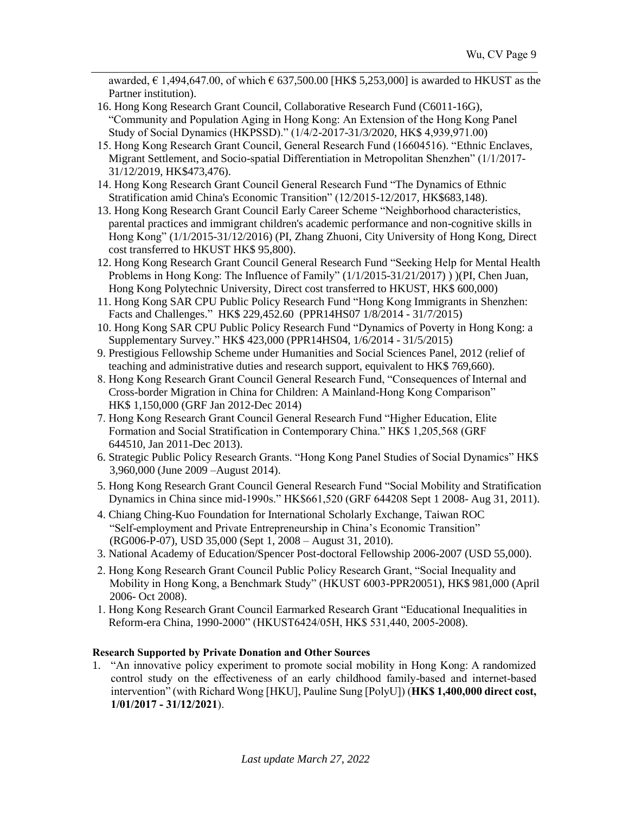awarded,  $\epsilon$  1,494,647.00, of which  $\epsilon$  637,500.00 [HK\$ 5,253,000] is awarded to HKUST as the Partner institution).

- 16. Hong Kong Research Grant Council, Collaborative Research Fund (C6011-16G), "Community and Population Aging in Hong Kong: An Extension of the Hong Kong Panel Study of Social Dynamics (HKPSSD)." (1/4/2-2017-31/3/2020, HK\$ 4,939,971.00)
- 15. Hong Kong Research Grant Council, General Research Fund (16604516). "Ethnic Enclaves, Migrant Settlement, and Socio-spatial Differentiation in Metropolitan Shenzhen" (1/1/2017- 31/12/2019, HK\$473,476).
- 14. Hong Kong Research Grant Council General Research Fund "The Dynamics of Ethnic Stratification amid China's Economic Transition" (12/2015-12/2017, HK\$683,148).
- 13. Hong Kong Research Grant Council Early Career Scheme "Neighborhood characteristics, parental practices and immigrant children's academic performance and non-cognitive skills in Hong Kong" (1/1/2015-31/12/2016) (PI, Zhang Zhuoni, City University of Hong Kong, Direct cost transferred to HKUST HK\$ 95,800).
- 12. Hong Kong Research Grant Council General Research Fund "Seeking Help for Mental Health Problems in Hong Kong: The Influence of Family" (1/1/2015-31/21/2017) ) )(PI, Chen Juan, Hong Kong Polytechnic University, Direct cost transferred to HKUST, HK\$ 600,000)
- 11. Hong Kong SAR CPU Public Policy Research Fund "Hong Kong Immigrants in Shenzhen: Facts and Challenges." HK\$ 229,452.60 (PPR14HS07 1/8/2014 - 31/7/2015)
- 10. Hong Kong SAR CPU Public Policy Research Fund "Dynamics of Poverty in Hong Kong: a Supplementary Survey." HK\$ 423,000 (PPR14HS04, 1/6/2014 - 31/5/2015)
- 9. Prestigious Fellowship Scheme under Humanities and Social Sciences Panel, 2012 (relief of teaching and administrative duties and research support, equivalent to HK\$ 769,660).
- 8. Hong Kong Research Grant Council General Research Fund, "Consequences of Internal and Cross-border Migration in China for Children: A Mainland-Hong Kong Comparison" HK\$ 1,150,000 (GRF Jan 2012-Dec 2014)
- 7. Hong Kong Research Grant Council General Research Fund "Higher Education, Elite Formation and Social Stratification in Contemporary China." HK\$ 1,205,568 (GRF 644510, Jan 2011-Dec 2013).
- 6. Strategic Public Policy Research Grants. "Hong Kong Panel Studies of Social Dynamics" HK\$ 3,960,000 (June 2009 –August 2014).
- 5. Hong Kong Research Grant Council General Research Fund "Social Mobility and Stratification Dynamics in China since mid-1990s." HK\$661,520 (GRF 644208 Sept 1 2008- Aug 31, 2011).
- 4. Chiang Ching-Kuo Foundation for International Scholarly Exchange, Taiwan ROC "Self-employment and Private Entrepreneurship in China's Economic Transition" (RG006-P-07), USD 35,000 (Sept 1, 2008 – August 31, 2010).
- 3. National Academy of Education/Spencer Post-doctoral Fellowship 2006-2007 (USD 55,000).
- 2. Hong Kong Research Grant Council Public Policy Research Grant, "Social Inequality and Mobility in Hong Kong, a Benchmark Study" (HKUST 6003-PPR20051), HK\$ 981,000 (April 2006- Oct 2008).
- 1. Hong Kong Research Grant Council Earmarked Research Grant "Educational Inequalities in Reform-era China, 1990-2000" (HKUST6424/05H, HK\$ 531,440, 2005-2008).

### **Research Supported by Private Donation and Other Sources**

1. "An innovative policy experiment to promote social mobility in Hong Kong: A randomized control study on the effectiveness of an early childhood family-based and internet-based intervention" (with Richard Wong [HKU], Pauline Sung [PolyU]) (**HK\$ 1,400,000 direct cost, 1/01/2017 - 31/12/2021**).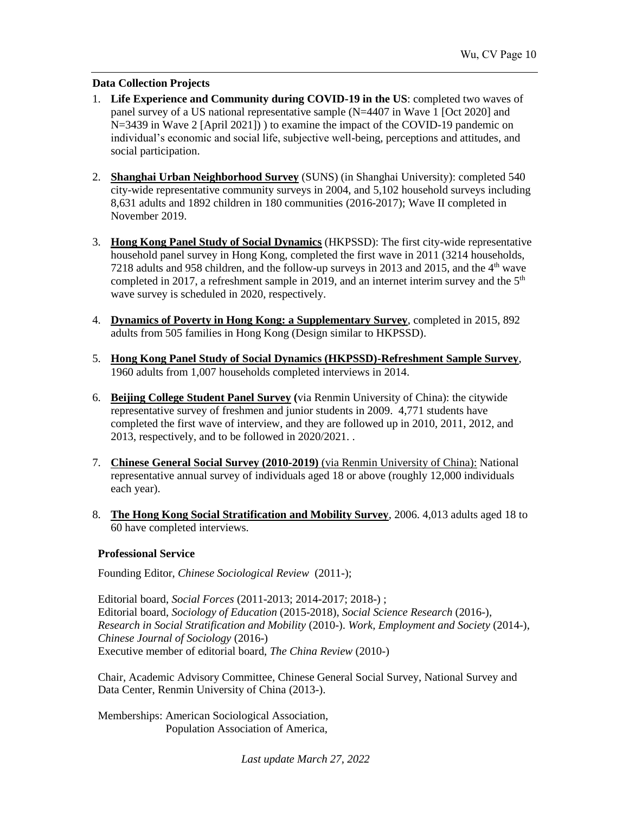## **Data Collection Projects**

- 1. **Life Experience and Community during COVID-19 in the US**: completed two waves of panel survey of a US national representative sample (N=4407 in Wave 1 [Oct 2020] and N=3439 in Wave 2 [April 2021]) ) to examine the impact of the COVID-19 pandemic on individual's economic and social life, subjective well-being, perceptions and attitudes, and social participation.
- 2. **Shanghai Urban Neighborhood Survey** (SUNS) (in Shanghai University): completed 540 city-wide representative community surveys in 2004, and 5,102 household surveys including 8,631 adults and 1892 children in 180 communities (2016-2017); Wave II completed in November 2019.
- 3. **Hong Kong Panel Study of Social Dynamics** (HKPSSD): The first city-wide representative household panel survey in Hong Kong, completed the first wave in 2011 (3214 households, 7218 adults and 958 children, and the follow-up surveys in 2013 and 2015, and the  $4<sup>th</sup>$  wave completed in 2017, a refreshment sample in 2019, and an internet interim survey and the  $5<sup>th</sup>$ wave survey is scheduled in 2020, respectively.
- 4. **Dynamics of Poverty in Hong Kong: a Supplementary Survey**, completed in 2015, 892 adults from 505 families in Hong Kong (Design similar to HKPSSD).
- 5. **Hong Kong Panel Study of Social Dynamics (HKPSSD)-Refreshment Sample Survey**, 1960 adults from 1,007 households completed interviews in 2014.
- 6. **Beijing College Student Panel Survey (**via Renmin University of China): the citywide representative survey of freshmen and junior students in 2009. 4,771 students have completed the first wave of interview, and they are followed up in 2010, 2011, 2012, and 2013, respectively, and to be followed in 2020/2021. .
- 7. **Chinese General Social Survey (2010-2019)** (via Renmin University of China): National representative annual survey of individuals aged 18 or above (roughly 12,000 individuals each year).
- 8. **The Hong Kong Social Stratification and Mobility Survey**, 2006. 4,013 adults aged 18 to 60 have completed interviews.

### **Professional Service**

Founding Editor, *Chinese Sociological Review* (2011-);

Editorial board, *Social Forces* (2011-2013; 2014-2017; 2018-) ; Editorial board, *Sociology of Education* (2015-2018), *Social Science Research* (2016-)*, Research in Social Stratification and Mobility* (2010-). *Work, Employment and Society* (2014-), *Chinese Journal of Sociology* (2016-) Executive member of editorial board, *The China Review* (2010-)

Chair, Academic Advisory Committee, Chinese General Social Survey, National Survey and Data Center, Renmin University of China (2013-).

Memberships: American Sociological Association, Population Association of America,

*Last update March 27, 2022*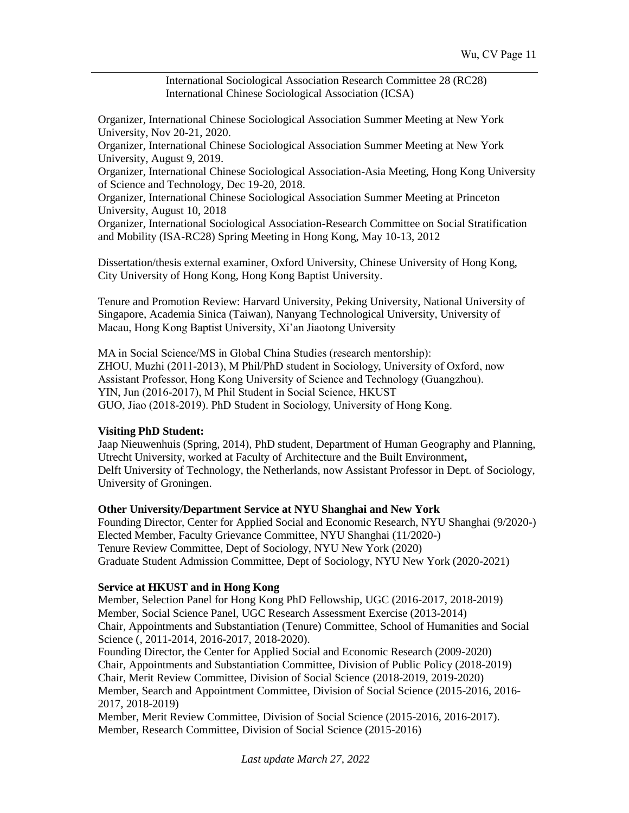International Sociological Association Research Committee 28 (RC28) International Chinese Sociological Association (ICSA)

Organizer, International Chinese Sociological Association Summer Meeting at New York University, Nov 20-21, 2020. Organizer, International Chinese Sociological Association Summer Meeting at New York University, August 9, 2019. Organizer, International Chinese Sociological Association-Asia Meeting, Hong Kong University of Science and Technology, Dec 19-20, 2018. Organizer, International Chinese Sociological Association Summer Meeting at Princeton University, August 10, 2018 Organizer, International Sociological Association-Research Committee on Social Stratification and Mobility (ISA-RC28) Spring Meeting in Hong Kong, May 10-13, 2012

Dissertation/thesis external examiner, Oxford University, Chinese University of Hong Kong, City University of Hong Kong, Hong Kong Baptist University.

Tenure and Promotion Review: Harvard University, Peking University, National University of Singapore, Academia Sinica (Taiwan), Nanyang Technological University, University of Macau, Hong Kong Baptist University, Xi'an Jiaotong University

MA in Social Science/MS in Global China Studies (research mentorship): ZHOU, Muzhi (2011-2013), M Phil/PhD student in Sociology, University of Oxford, now Assistant Professor, Hong Kong University of Science and Technology (Guangzhou). YIN, Jun (2016-2017), M Phil Student in Social Science, HKUST GUO, Jiao (2018-2019). PhD Student in Sociology, University of Hong Kong.

### **Visiting PhD Student:**

Jaap Nieuwenhuis (Spring, 2014), PhD student, Department of Human Geography and Planning, Utrecht University, worked at Faculty of Architecture and the Built Environment**,** Delft University of Technology, the Netherlands, now Assistant Professor in Dept. of Sociology, University of Groningen.

### **Other University/Department Service at NYU Shanghai and New York**

Founding Director, Center for Applied Social and Economic Research, NYU Shanghai (9/2020-) Elected Member, Faculty Grievance Committee, NYU Shanghai (11/2020-) Tenure Review Committee, Dept of Sociology, NYU New York (2020) Graduate Student Admission Committee, Dept of Sociology, NYU New York (2020-2021)

### **Service at HKUST and in Hong Kong**

Member, Selection Panel for Hong Kong PhD Fellowship, UGC (2016-2017, 2018-2019) Member, Social Science Panel, UGC Research Assessment Exercise (2013-2014) Chair, Appointments and Substantiation (Tenure) Committee, School of Humanities and Social Science (, 2011-2014, 2016-2017, 2018-2020). Founding Director, the Center for Applied Social and Economic Research (2009-2020) Chair, Appointments and Substantiation Committee, Division of Public Policy (2018-2019) Chair, Merit Review Committee, Division of Social Science (2018-2019, 2019-2020) Member, Search and Appointment Committee, Division of Social Science (2015-2016, 2016- 2017, 2018-2019) Member, Merit Review Committee, Division of Social Science (2015-2016, 2016-2017).

Member, Research Committee, Division of Social Science (2015-2016)